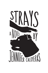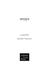# strays

*a novel by* 

Jennifer Caloyeras

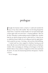## prologue

I brought the hammer down as hard as I could and watched the stucco of my closet wall crumble. That was for being dumped by Andy Dunn. I raised the wooden handle over my head and brought it down again with even more force—a human guillotine. That was for Mrs. Schneider's condescending remark in English class. Another bash for my dad for being too busy to deal with me. A slam for my so-called best friend, Ashley, for not calling me back the night before. And a smash for my mom—for dying—that sent bits of drywall fying.

I waited until my chest stopped its rhythmic heaving up and down, like the waves of the Pacifc that I could see from my bedroom window. After rearranging my clothing on the hangers so that they hid all evidence of my outburst, I stepped out of the closet and closed the doors. As usual, the hammering had been therapeutic. I had let it all out.

Or so I thought.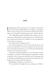### one

I couldn't ignore them any longer. It was one thing to walk around the school cafeteria hiding behind my sunglasses, pretending I didn't see them waving at me, but they knew I hadn't gone deaf, so when my two "friends" started shouting my name, I had to walk over.

 "Iris!" yelled Ashley again, both hands in the air like she was on a roller coaster. She had been my closest friend, if you could call it that, since I had moved to Santa Cruz, California, to start my sophomore year less than two years ago.

Sierra followed with a bellowing, "Eye!"

*Eye* was their nickname for me, but I never had the heart to tell them they should stick to Iris because calling me by the frst letter of my name kind of creeped me out. I just always pictured this big, ominous eye hovering over my head.

I don't know why they'd plucked me out of all the girls at Santa Cruz High. It wasn't like I had been giving out signals that I wanted to hang out. In fact, I spent most of that frst year in tenth grade with my head down, hiding behind my long brown hair. Maybe they were intrigued by the new girl with the tragic past.

Begrudgingly, I brought my sack lunch over.

"For a second there, I thought you were avoiding us," said Sierra,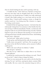who was clearly breaking the dress code by sporting a tube top.

"I wouldn't do that," I lied. Truth was, I had been craving more and more time alone with my thoughts lately. But it was hard to explain this to my friends because I couldn't even really understand it myself. After fnally settling in to a new home and my new life without Mom, I found myself wanting to retreat, as though the comfort scared me. I was shying away, like a hamster or a jaguar, from being a social creature.

It fnally felt like the beginning of summer—the kind of day that made people visiting Santa Cruz announce to their families that they were moving to California immediately. Outside, a cerulean sky with rising heat made me envy all of the kids downing cool sodas. Dad had forgotten to give me my allowance this morning, so I was stuck with a boring peanut butter and jelly sandwich from home. And drinking fountain water—lukewarm.

"You look tired," Ashley said as I sat down.

"I woke up late, and Dad drank all the coffee this morning," I said.

"Coffee stunts your growth," said Sierra. She was going to end up at least six feet tall, like her brothers, and no amount of cafeine could stop her.

"Well, it also staves off type-two diabetes," I added.

"Here she goes," said Sierra.

That shut me up. I didn't have to subject them to my Science Channel addiction.

I could feel the crunchy peanut bits sticking to my teeth. "How'd you do on bio?" I asked, trying to change the subject.

"There's no way anyone got the extra credit on the bio final this morning. No way," said Sierra, opening her plastic container flled with noodles. She was a senior who sometimes hung out with us.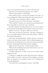Since I was in accelerated science, we were in the same class.

The sides of my mouth turned upward, ever so subtly.

"What was the question?" asked Ashley.

Sierra used her teeth to rip open the package of soy sauce. "It was something like: 'What's special about the way moray eels eat?'"

"And 'What is this mechanism called?'" I added.

"I'm glad I'm not in any of those AP classes," said Ashley.

"Why would Mr. Sommers even include extra credit questions if they're impossible to answer? It's cruel," said Sierra.

My smile widened, and Ashley glanced over at me. It was one of the few pleasures I had experienced in months. I wanted to revel in it.

Ashley was onto me. "You got it, didn't you?" she said.

"She's smart, but she's not *that* smart," said Sierra, studying my eyes as my pupils widened. "Oh my God. You did get it. What in the world was the answer?"

I gave them the full explanation. "Moray eels have a second set of jaws at the back of their mouths. They're called *pharyngeal jaws*, and when the eel clamps down on its prey, the second set protrudes forward to help bring the food back into the esophagus."

Ashley put down her burrito. "I think I'm gonna puke."

"Where in the world did you learn that? Mr. Sommers never even covered that in class," said Sierra.

"He didn't talk about it in class. It was on one of those nature programs I watch."

I could get so caught up in those shows that hours would pass and I wouldn't even notice. And since I'd been feeling so antisocial lately, my propensity for marathon sessions of TV watching had increased signifcantly.

"You kind of have a photographic memory," said Ashley.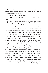"No, I don't," I said. "Only when it comes to things…" I paused, thinking about what I was trying to say. What was the information I was more likely to remember?

"Related to animals?" Ashley ofered.

"I guess. I remember some fora stuf, too, but mostly the fauna," I said.

"You should try going to the Monterey Bay Aquarium with her. It's like having your own personal tour guide," said Ashley.

I guess I had been a bit much when we took a road trip forty-fve minutes south to Monterey soon after we met. It had been a kind gesture for Ashley to invite me along with her family, and Dad had been happy to spend the weekend holed up in his office. Ashley had made fun of me for spouting off facts and strange trivia about the various sea animals—they were my specialty. With all the time I had spent in the ocean, I felt a bit like a sea animal myself. At least I used to feel that way. The ocean now reminded me too much of my mom, so I avoided it. But whenever I heard or read anything about an animal—it didn't matter what kind—the fact would get fled away in my head, and I could recall it at any given moment.

"Wonder why it doesn't work with everything?" asked Sierra.

I had been wondering the same thing. I had four more fnals to take over the next week, and only the easiest one—biology—was behind me. I was pretty sure I had nailed it. But the rest of the week would bring precalculus, Spanish 3, AP U.S. history, and the most dreaded one: English 3. It was my only class that wasn't advanced, which was ironic because my mom had been a librarian who was basically in love with books. I'd been doing okay in English until I was placed in Mrs. Schneider's class last year, in the tenth grade. And then, as luck would have it, I got her again the following year.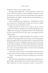Schneider was like a virus I could not shake.

She approached English like an army lieutenant—all rules and no fun. Above her desk was a quote by Molière: GRAMMAR, WHICH knows how to control even kings. But Schneider ran her classroom like King Henry the Eighth-hacking off our proverbial heads every time anyone misspoke.

I knew I should have been studying more, working harder to make sure I kept up my 3.8 grade point average, but the more I studied "the rules," the more mottled they became.

Looking around the cafeteria, you could see severe cases of "senioritis" everywhere. Students were constantly talking about what colleges they were going to, pushing the limits of the already pretty lax dress code in the form of too-short skirts, and exuding a joy that I did not share.

High school was so compartmentalized. You could see it in the yearbook: who the sporty kids were, the skaters, the nerds, the theater geeks, the popular kids. But my friends seemed to transcend that kind of labeling. We were part of diferent things at school. Sierra wrote for the school newspaper, *Te Weekly Slug*; Ashley played volleyball; and I sang in the choir and was part of the school science team that met over an occasional lunch period to discuss the latest breaking news. We were an eclectic trio.

"One week until we're seniors!" I said with fake enthusiasm, trying to take the focus off me and the inner workings of my weird brain.

"I know—I can't believe it! Next year is going to be so awesome!" said Ashley.

Mom had always talked about the importance of getting into a good college, which felt kind of weird because Dad had never gone. He'd worked his way from construction worker to contractor to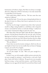businessman, all without a degree. But Mom was always so nostalgic about her college days at Brown University, it was only natural that I would follow in her footsteps.

Dad would always debate with her. "We have some fne state schools in California."

But she'd fre back, "It's not the same as being hunkered down in the dead of winter in a library that's been in operation for over two hundred years."

And that was the image I conjured most often when I pictured myself at college: sitting bundled in a cold library with a long knit sweater, surrounded by books on molecular biology. I realized not every junior romanticized college in quite the same way.

After Mom died, Dad and I didn't really talk about college plans anymore. He had thrown himself into his new job, and I was busy fguring out if and how I was going to make new friends. But when I came home one day last year with a Brown brochure that the college counselor had given me, Dad sat me down and expressed his concerns.

"We can't aford it."

I knew there was one less income coming in, which was why our new duplex in Santa Cruz was way smaller than our house in Topanga Canyon, just north of Los Angeles.

"I'm a good student. I can get a scholarship."

"It's not that simple," he said. "We're not poor enough for a scholarship."

So there I was, not rich enough to afford a private university, but not poor enough for assistance—stuck between a rock and a hard place. Stuck with Dad in California. The good news was my grades had been strong—at least until this semester—and I'd been slowly adding to my nest egg with the funds I'd received from Mom's small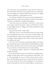trust. The money was accumulating a modest amount of interest at First Pacifc Bank. What better way to spend it than on my education? I knew she'd approve of my plan. With that money there, my college counselor explained, I could qualify for a loan.

 "So, what does it feel like to have one more week until graduation?" Ashley asked Sierra. More than anything, I wanted to switch places with Sierra and officially be a high school graduate.

"I can't wait to get out of this place," said Sierra. "I mean, Santa Cruz is pretty and all, but doesn't it make you feel like the world is so much bigger? There are colleges with student populations as big as this entire city!"

"Seriously? Like where?" Ashley asked.

"Ohio State, for one." Sierra had had her heart set on that school since the beginning of last year. It was all we ever heard about. We were glad when her acceptance letter fnally arrived in the mail. "Can you imagine all the single guys there will be to choose from? And I'm not talking surfer types."

It was true. Our city boasted an inordinately high ratio of surfer guys: tanned skin; long, sun-bleached hair; and this laid-back attitude that made you feel that even if you took one by surprise and slapped him across the face, he'd just keep the conversation rolling.

"Um, speaking of which," said Sierra. "Looks like Andy found himself a freshman."

We turned our heads in unison to see what Sierra was talking about, making it totally obvious that we were spying on Andy Dunn—my ex. Not surprisingly, he was one of those surfer types, but with a brain. He had broken up with me two weeks earlier. He said that I just seemed closed off, that I wasn't letting him in. He claimed he meant emotionally, but I had an entirely diferent interpretation; I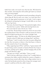hadn't been ready to do much more than kiss him. We'd dated for three months, and seeing him with another girl made my stomach ache in its lowest depths.

"Whatever," I said, turning back around, pretending to shrug the whole thing of. But *the waters were rising*—or at least that's how I felt as the anger gained momentum in my body. I tried to ignore the feeling by anticipating the damage I would infict on my closet wall once I got home.

"You mean, that doesn't bug you?" Sierra pointed straight at them.

"You don't have to point," Ashely said, lowering Sierra's arm.

"He can do what he wants. Fine by me," I lied.

It wasn't fine. The last thing I wanted was a front-row seat to their face-sucking festival. How insensitive could one person be? And to think I'd actually loved this guy. Or, at least I thought I had.

I changed the subject. "So what are the official summer plans?" "Summer school if I didn't pass my biology fnal," said Sierra.

"You'll pass," I said. So much of my time was spent telling these two that they were pretty or skinny or that they'd pass or whatever else they wanted to hear. It was exhausting.

"Okay, supposing I pass AP bio," said Sierra, "I guess summer will be spent being a junior counselor at Summer Brooke Day Camp in Los Gatos, packing up for college, and then hanging with you fne people each afternoon, right?"

"You guys are so lucky," said Ashley. "I have to work."

"Yeah, at the best coffee house in Santa Cruz!" I couldn't hide my excitement that Ashley would be behind the counter at Pergolesi, a Victorian-house-turned-cofee-shop where college students went to study. She had already assured me that as long as her manager wasn't around, I could have all the free coffee I wanted.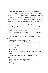"You're working, too, right, Eye?" asked Sierra.

"Babysitting. Same boys I sit during the week sometimes."

I would be babysitting the Harrison boys from nine to three every day. Their mom worked some part-time computer-type job over the hill in San Jose and made enough to pay me \$15 an hour, a 25 percent raise from last summer. It was a pretty easy job, and even fun at times: walking the boys to the park and the library. Every paycheck would transform into college credits.

"Do you have to change diapers?" asked Sierra.

"I did last year. But Conor's three now. He's potty trained. I just have to give him a jelly bean every time it lands in the potty."

"Eew! You have to watch him pee!" said Sierra.

"I'm just there to make sure everything goes where it's supposed to go," I said.

"I am only having girls," said Ashley, putting her uneaten lunch away.

Sierra laughed. "You don't get to choose!"

"I thought there were *ways* of making it go one way or the other. Like positions or some tea you could drink." Ashley could be so naïve.

"Yeah, Make-a-Girl tea," I said. "Saw that one on sale at the market last week."

We all laughed.

"Okay, Ms. Biology Expert, so you tell us then. How is a baby's sex determined?" asked Sierra.

I hadn't really thought of it before. Just knew there was a ffty-ffty chance.

"Sorry, guys, I only do animals," I said.

"People don't count as animals?" asked Ashley.

"Well, I guess humans are the one animal I don't understand," I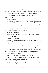said, staring at Andy, who was still slobbering all over that freshman girl. *Te waters began rising again.* It felt as though I were drowning a slow death and there was nothing I could do to save myself.

Sierra's phone pinged, and she looked down to read the text. "I can't believe this!"

"What?" I asked.

"I was supposed to drive to a concert in Berkeley this weekend to review a band for the newspaper, but now my mom's saying she needs the car because she just got invited to some spa getaway with *her* friends. I seriously hate her. I wish she were dead."

Even though I was looking down at my sandwich, I could feel their eyes on me, waiting for my reaction.

"Sorry, Eye," said Sierra.

There that monocle was, floating above me. Looking down on me. Singling me out.

*Girl with the dead mother.* 

"It's okay!" I assured her. After all, it should have been okay, an ofhand remark said in front of someone whose mom happened to be dead. Sierra hadn't meant to offend, I understood that—but, truth be told, whenever people mentioned their moms I ached a little inside. It seemed like a waste of time to want something I couldn't have. Dad was still single, always too busy with work for girlfriends, but even if he remarried and I gained a stepmother, whether good or evil, she'd never replace my real mom.

I did my best to smile and empathize with Sierra.

"My mom wants to take us on a girls' shopping trip to San Francisco next weekend," Ashley said. "You ladies in?"

Sierra squealed. "Yes!"

"Eye?" asked Ashley. I knew she was being generous with her offer,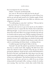jennifer caloyeras

but I was desperate for some time alone.

"Maybe," I answered, unenthusiastically.

"Aw, come on. We need your dad's juice for the ride up!"

Dad was a manager at a juicing facility just north of Santa Cruz, and his one and only perk seemed to be a limitless supply of freshsqueezed fruit and vegetable juices that flled our otherwise scant refrigerator to the brim.

"I'm totally going on a juice diet," said Sierra. "Tell your dad we need a case for the car. You have to come."

Did they only want me to go on the trip for my free drinks? I wondered if I put in a request like that whether Dad would bother following through—or even return my text, for that matter. He was always busy with work. When I was younger, he'd taken time off to go on vacations with me and my mom. We'd go camping in Yosemite or cross-country skiing in the Sierras. But after she died, Dad's workload seemed to increase, and I couldn't fgure out whether he had actually been given more work or whether he had chosen to take it all on in order to avoid dealing with Mom's death—or dealing with me.

A wadded-up paper lunch bag hit Ashley in the face.

"Seriously?" she said. She picked it up and threw it back toward three boys at another lunch table, laughing. We didn't know their names but referred to them as Mutton Chop (the guy was always growing his sideburns), Streak (he had a streak of blond bleached at the front of his hair), and Hoodie Boy (who always wore the same hooded sweatshirt pulled tight so you could hardly see his face). All of them were troublemakers. They had been kicked out of class more times than I could count, and once in a while I'd see one of them sitting outside the principal's office, waiting, no doubt, for another stern warning. They were from a whole other world of kids who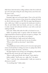didn't listen, kids who had no college ambition, kids who would end up in the same place doing the same thing twenty years from now. Or worse: in jail.

"Here comes Principal C."

Principal Cagle was on the prowl again. Close to the end of the school year, he had a mission to bust anyone he could get his hands on, like he had some quota to fll. With the paper-bag delinquents only a table away, I didn't even question his steady pace toward us. Also, he and Ashley's dad were friends, and once in a while, just to make everyone feel awkward, he'd have a seat with us and start making small talk.

Sierra said, "Ashley, hide under the table, so he doesn't see you…"

Ashley was getting ready to squeeze under the laminate when Cagle leaned down toward me and said, not quite in a whisper, "Iris Moody, please meet me in my office in ten minutes."

My cheeks fushed as Cagle turned and walked away.

"He's so creepy," Sierra said, once he was out of earshot.

"What in the world was that about?" asked Ashley.

I shrugged.

"He probably just wants to tell you you've won some super-genius science award and they're etching your name on a plaque that will sit on the gym wall for all eternity," said Sierra.

The paper-bag boys were staring at me and laughing, still probably shocked that they weren't the ones Cagle was after.

"Want to walk around Pacifc after school?" Sierra asked us.

Ashley nodded. "You'll come, too—right, Eye?" she asked.

"Sure," I said, less than enthusiastically. I really just wanted an afternoon to myself.

"Is everything okay?" Ashley asked.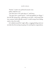#### jennifer caloyeras

"Peachy," I said in my perfected sarcastic tone.

Ashley rolled her eyes.

"You don't have to be rude about it," said Sierra.

"You guys have a good lunch," I said and grabbed my things. I just felt like being alone, wallowing in my funk. I told myself that once summer break officially started, I would emerge from hiding, ready to face the world.

As I walked toward Mr. Cagle's office, a nagging feeling took over my body that this meeting was going to be anything but congratulatory.